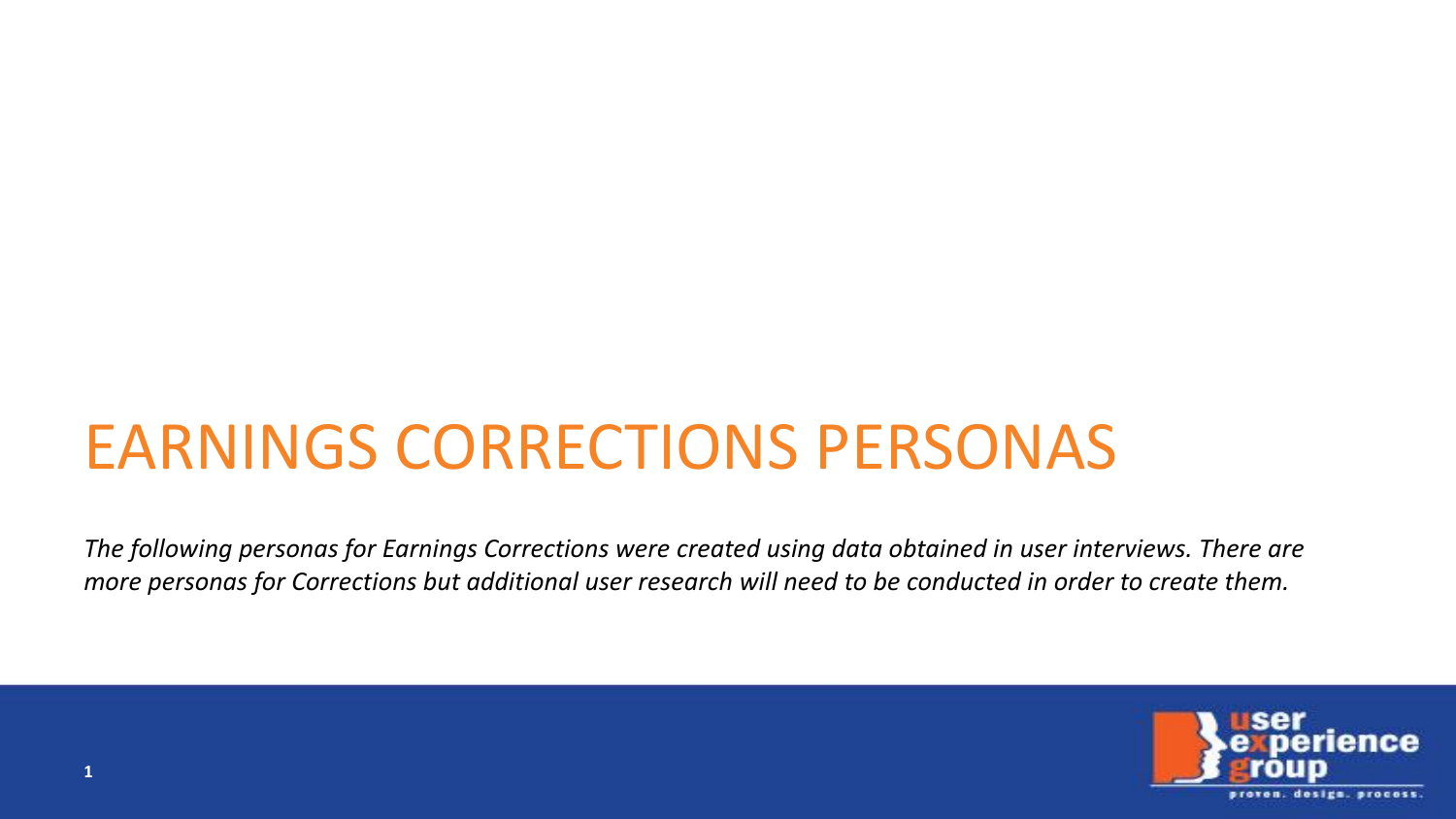# EARNINGS CORRECTIONS PERSONAS

*The following personas for Earnings Corrections were created using data obtained in user interviews. There are more personas for Corrections but additional user research will need to be conducted in order to create them.* 

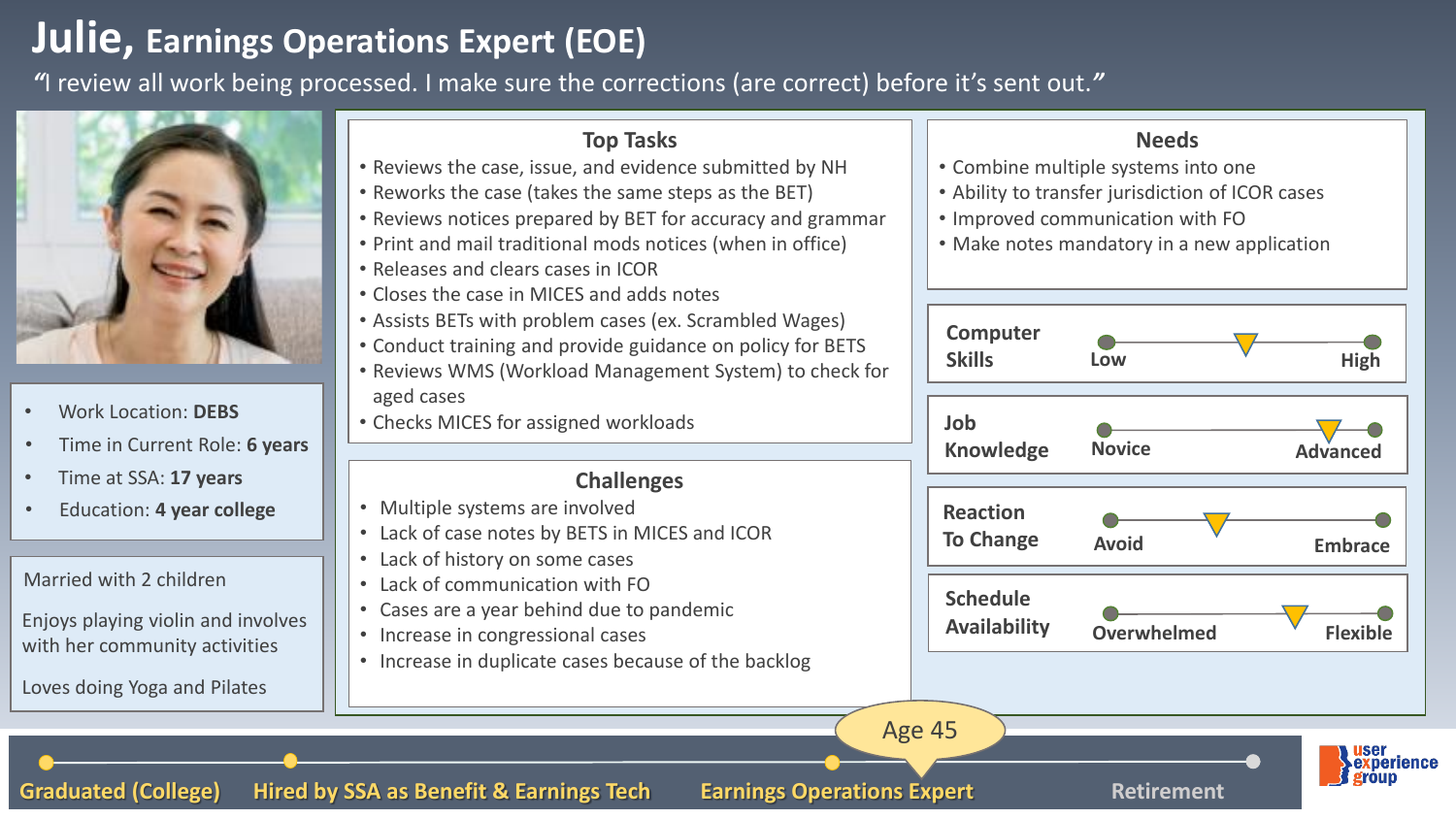## **Julie, Earnings Operations Expert (EOE)**

*"*I review all work being processed. I make sure the corrections (are correct) before it's sent out.*"*

Graduated (College) Hired by SSA as Benefit & Earnings Tech Earnings Operations Expert Retirement



- Work Location: **DEBS**
- Time in Current Role: **6 years**
- Time at SSA: **17 years**
- Education: **4 year college**

Married with 2 children

Enjoys playing violin and involves with her community activities

Loves doing Yoga and Pilates